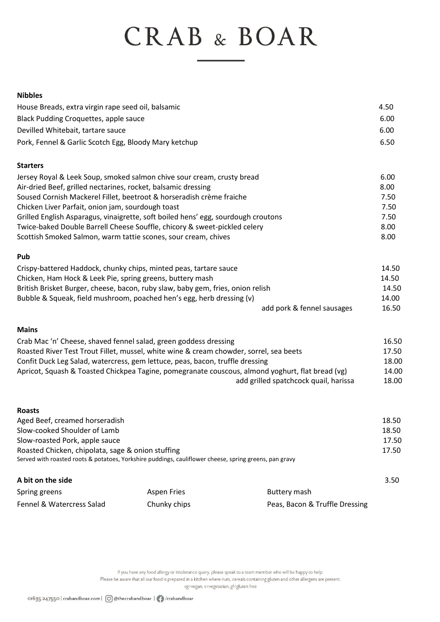# CRAB & BOAR

#### **Nibbles**

| House Breads, extra virgin rape seed oil, balsamic    | 4.50 |
|-------------------------------------------------------|------|
| Black Pudding Croquettes, apple sauce                 | 6.00 |
| Devilled Whitebait, tartare sauce                     | 6.00 |
| Pork, Fennel & Garlic Scotch Egg, Bloody Mary ketchup | 6.50 |

#### **Starters**

| Jersey Royal & Leek Soup, smoked salmon chive sour cream, crusty bread            | 6.00 |
|-----------------------------------------------------------------------------------|------|
| Air-dried Beef, grilled nectarines, rocket, balsamic dressing                     | 8.00 |
| Soused Cornish Mackerel Fillet, beetroot & horseradish crème fraiche              | 7.50 |
| Chicken Liver Parfait, onion jam, sourdough toast                                 | 7.50 |
| Grilled English Asparagus, vinaigrette, soft boiled hens' egg, sourdough croutons | 7.50 |
| Twice-baked Double Barrell Cheese Souffle, chicory & sweet-pickled celery         | 8.00 |
| Scottish Smoked Salmon, warm tattie scones, sour cream, chives                    | 8.00 |

## **Pub**

| Crispy-battered Haddock, chunky chips, minted peas, tartare sauce               |                            | 14.50 |
|---------------------------------------------------------------------------------|----------------------------|-------|
| Chicken, Ham Hock & Leek Pie, spring greens, buttery mash                       |                            | 14.50 |
| British Brisket Burger, cheese, bacon, ruby slaw, baby gem, fries, onion relish |                            | 14.50 |
| Bubble & Squeak, field mushroom, poached hen's egg, herb dressing (v)           |                            | 14.00 |
|                                                                                 | add pork & fennel sausages | 16.50 |

## **Mains**

| Crab Mac 'n' Cheese, shaved fennel salad, green goddess dressing                                 |       |
|--------------------------------------------------------------------------------------------------|-------|
| Roasted River Test Trout Fillet, mussel, white wine & cream chowder, sorrel, sea beets           | 17.50 |
| Confit Duck Leg Salad, watercress, gem lettuce, peas, bacon, truffle dressing                    | 18.00 |
| Apricot, Squash & Toasted Chickpea Tagine, pomegranate couscous, almond yoghurt, flat bread (vg) |       |
| add grilled spatchcock quail, harissa                                                            | 18.00 |

| <b>Roasts</b>                                                                                          |             |              |       |  |  |  |
|--------------------------------------------------------------------------------------------------------|-------------|--------------|-------|--|--|--|
| Aged Beef, creamed horseradish                                                                         |             |              | 18.50 |  |  |  |
| Slow-cooked Shoulder of Lamb                                                                           |             |              | 18.50 |  |  |  |
| Slow-roasted Pork, apple sauce                                                                         |             |              |       |  |  |  |
| Roasted Chicken, chipolata, sage & onion stuffing                                                      |             |              |       |  |  |  |
| Served with roasted roots & potatoes, Yorkshire puddings, cauliflower cheese, spring greens, pan gravy |             |              |       |  |  |  |
| A bit on the side                                                                                      |             |              | 3.50  |  |  |  |
| Spring greens                                                                                          | Aspen Fries | Buttery mash |       |  |  |  |

Fennel & Watercress Salad Chunky chips **Peas, Bacon & Truffle Dressing** 

If you have any food allergy or intolerance query, please speak to a team member who will be happy to help. Please be aware that all our food is prepared in a kitchen where nuts, cereals containing gluten and other allergens are present.

vg=vegan, v=vegetarian, gf=gluten free